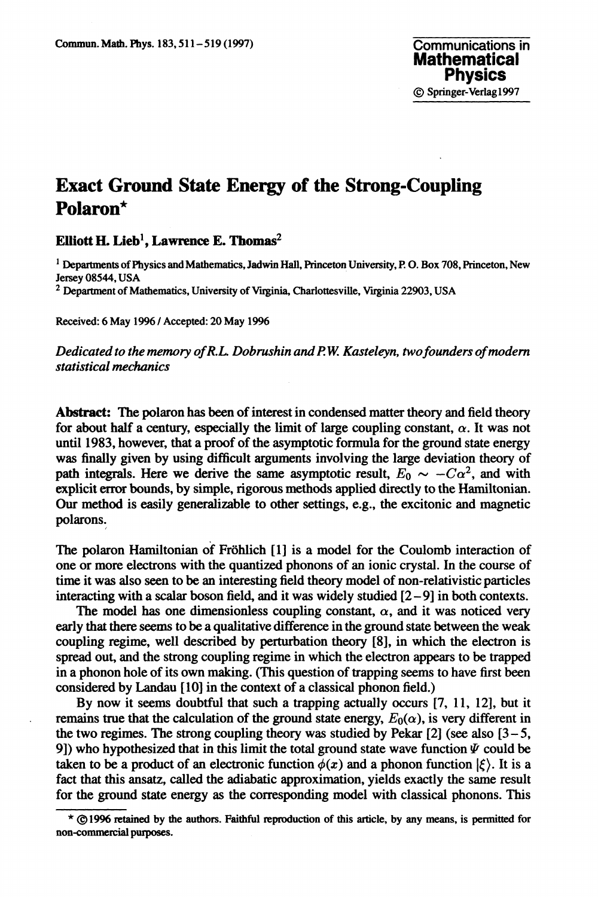## **Exact Ground State Energy of the Strong-Coupling Polaron\***

**Elliott H. Lieb<sup>1</sup> , Lawrence E. Thomas<sup>2</sup>**

**1 Departments of Physics and Mathematics, Jadwin Hall, Princeton University, P. O. Box 708, Princeton, New Jersey 08544, USA**

**2 Department of Mathematics, University of Virginia, Charlottesville, Virginia 22903, USA**

**Received: 6 May 1996 / Accepted: 20 May 1996**

*Dedicated to the memory ofR.L. Dobrushin andP.W. Kasteleyn, two founders of modern statistical mechanics*

**Abstract:** The polaron has been of interest in condensed matter theory and field theory for about half a century, especially the limit of large coupling constant,  $\alpha$ . It was not until 1983, however, that a proof of the asymptotic formula for the ground state energy was finally given by using difficult arguments involving the large deviation theory of path integrals. Here we derive the same asymptotic result,  $E_0 \sim -C\alpha^2$ , and with explicit error bounds, by simple, rigorous methods applied directly to the Hamiltonian. Our method is easily generalizable to other settings, e.g., the excitonic and magnetic polarons.

The polaron Hamiltonian of Frohlich [1] is a model for the Coulomb interaction of one or more electrons with the quantized phonons of an ionic crystal. In the course of time it was also seen to be an interesting field theory model of non-relativistic particles interacting with a scalar boson field, and it was widely studied  $[2 - 9]$  in both contexts.

The model has one dimensionless coupling constant,  $\alpha$ , and it was noticed very early that there seems to be a qualitative difference in the ground state between the weak coupling regime, well described by perturbation theory [8], in which the electron is spread out, and the strong coupling regime in which the electron appears to be trapped in a phonon hole of its own making. (This question of trapping seems to have first been considered by Landau [10] in the context of a classical phonon field.)

By now it seems doubtful that such a trapping actually occurs [7, 11, 12], but it remains true that the calculation of the ground state energy,  $E_0(\alpha)$ , is very different in the two regimes. The strong coupling theory was studied by Pekar  $[2]$  (see also  $[3-5]$ , 9]) who hypothesized that in this limit the total ground state wave function  $\Psi$  could be taken to be a product of an electronic function  $\phi(x)$  and a phonon function  $|\xi\rangle$ . It is a fact that this ansatz, called the adiabatic approximation, yields exactly the same result for the ground state energy as the corresponding model with classical phonons. This

**<sup>\* ©1996</sup> retained by the authors. Faithful reproduction of this article, by any means, is permitted for non-commercial purposes.**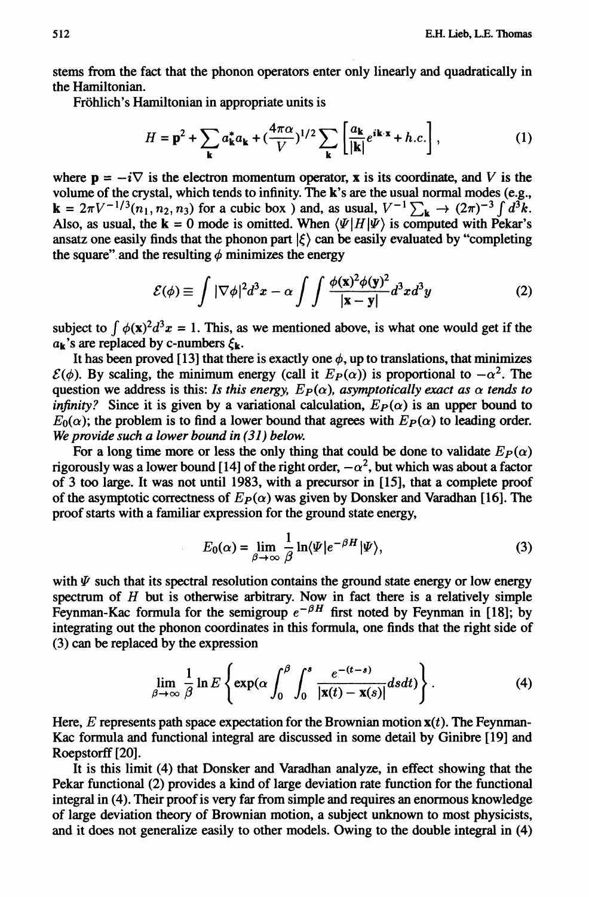**stems from the fact that the phonon operators enter only linearly and quadratically in the Hamiltonian.**

**Frohlich's Hamiltonian in appropriate units is**

$$
H = \mathbf{p}^2 + \sum_{\mathbf{k}} a_{\mathbf{k}}^* a_{\mathbf{k}} + \left(\frac{4\pi\alpha}{V}\right)^{1/2} \sum_{\mathbf{k}} \left[\frac{a_{\mathbf{k}}}{|\mathbf{k}|} e^{i\mathbf{k}\cdot\mathbf{x}} + h.c.\right],\tag{1}
$$

where  $\mathbf{p} = -i\nabla$  is the electron momentum operator, **x** is its coordinate, and *V* is the **volume of the crystal, which tends to infinity. The k's are the usual normal modes (e.g.,**  $\mathbf{k} = 2\pi V^{-1/3}(n_1, n_2, n_3)$  for a cubic box ) and, as usual,  $V^{-1}\sum_{\mathbf{k}} \to (2\pi)^{-3}\int d^3k$ . Also, as usual, the  $\mathbf{k} = 0$  mode is omitted. When  $\langle \Psi | H | \Psi \rangle$  is computed with Pekar's ansatz one easily finds that the phonon part  $|\xi\rangle$  can be easily evaluated by "completing the square" and the resulting  $\phi$  minimizes the energy

$$
\mathcal{E}(\phi) \equiv \int |\nabla \phi|^2 d^3 x - \alpha \int \int \frac{\phi(\mathbf{x})^2 \phi(\mathbf{y})^2}{|\mathbf{x} - \mathbf{y}|} d^3 x d^3 y \tag{2}
$$

subject to  $\int \phi(x)^2 d^3x = 1$ . This, as we mentioned above, is what one would get if the  $a_k$ 's are replaced by c-numbers  $\xi_k$ .

It has been proved [13] that there is exactly one  $\phi$ , up to translations, that minimizes  $\mathcal{E}(\phi)$ . By scaling, the minimum energy (call it  $E_P(\alpha)$ ) is proportional to  $-\alpha^2$ . The question we address is this: *Is this energy,*  $E_P(\alpha)$ *, asymptotically exact as*  $\alpha$  *tends to infinity?* Since it is given by a variational calculation,  $E_P(\alpha)$  is an upper bound to  $E_0(\alpha)$ ; the problem is to find a lower bound that agrees with  $E_P(\alpha)$  to leading order. *We provide such a lower bound in (31) below.*

For a long time more or less the only thing that could be done to validate  $E_P(\alpha)$ rigorously was a lower bound [14] of the right order,  $-\alpha^2$ , but which was about a factor **of 3 too large. It was not until 1983, with a precursor in [15], that a complete proof** of the asymptotic correctness of  $E_P(\alpha)$  was given by Donsker and Varadhan [16]. The **proof starts with a familiar expression for the ground state energy,**

$$
E_0(\alpha) = \lim_{\beta \to \infty} \frac{1}{\beta} \ln \langle \Psi | e^{-\beta H} | \Psi \rangle,
$$
 (3)

with  $\Psi$  such that its spectral resolution contains the ground state energy or low energy **spectrum of** *H* **but is otherwise arbitrary. Now in fact there is a relatively simple** Feynman-Kac formula for the semigroup  $e^{-\beta H}$  first noted by Feynman in [18]; by **integrating out the phonon coordinates in this formula, one finds that the right side of (3) can be replaced by the expression**

$$
\lim_{\beta \to \infty} \frac{1}{\beta} \ln E \left\{ \exp(\alpha \int_0^\beta \int_0^s \frac{e^{-(t-s)}}{|\mathbf{x}(t) - \mathbf{x}(s)|} ds dt) \right\}.
$$
 (4)

Here,  $E$  represents path space expectation for the Brownian motion  $\mathbf{x}(t)$ . The Feynman-**Kac formula and functional integral are discussed in some detail by Ginibre [19] and** Roepstorff<sup>[20]</sup>.

**It is this limit (4) that Donsker and Varadhan analyze, in effect showing that the Pekar functional (2) provides a kind of large deviation rate function for the functional integral in (4). Their proof is very far from simple and requires an enormous knowledge of large deviation theory of Brownian motion, a subject unknown to most physicists, and it does not generalize easily to other models. Owing to the double integral in (4)**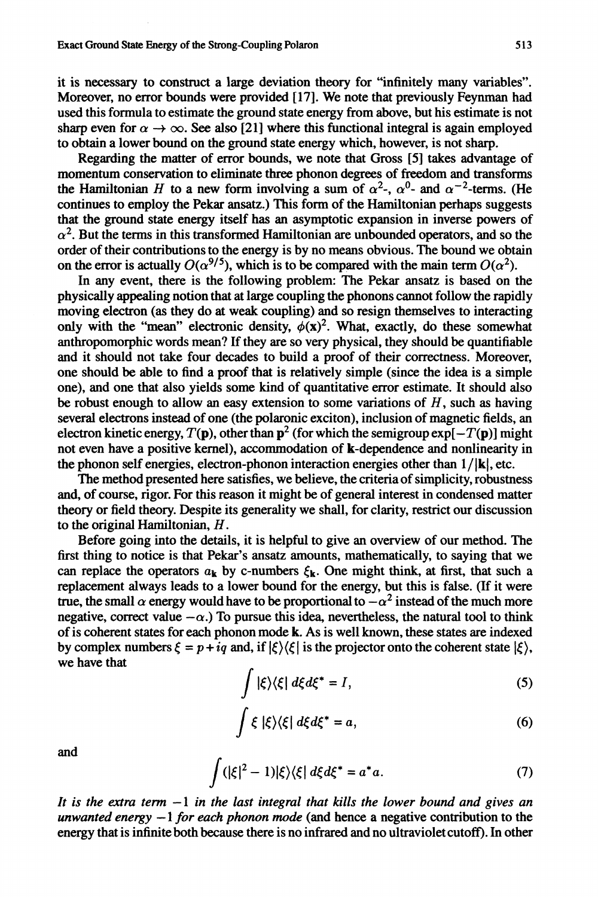**it is necessary to construct a large deviation theory for "infinitely many variables". Moreover, no error bounds were provided [17]. We note that previously Feynman had used this formula to estimate the ground state energy from above, but his estimate is not** sharp even for  $\alpha \to \infty$ . See also [21] where this functional integral is again employed **to obtain a lower bound on the ground state energy which, however, is not sharp.**

**Regarding the matter of error bounds, we note that Gross [5] takes advantage of momentum conservation to eliminate three phonon degrees of freedom and transforms** the Hamiltonian *H* to a new form involving a sum of  $\alpha^2$ ,  $\alpha^0$  and  $\alpha^{-2}$ -terms. (He **continues to employ the Pekar ansatz.) This form of the Hamiltonian perhaps suggests that the ground state energy itself has an asymptotic expansion in inverse powers of**  $\alpha^2$ . But the terms in this transformed Hamiltonian are unbounded operators, and so the **order of their contributions to the energy is by no means obvious. The bound we obtain** on the error is actually  $O(\alpha^{9/5})$ , which is to be compared with the main term  $O(\alpha^2)$ .

**In any event, there is the following problem: The Pekar ansatz is based on the physically appealing notion that at large coupling the phonons cannot follow the rapidly moving electron (as they do at weak coupling) and so resign themselves to interacting** only with the "mean" electronic density,  $\phi(x)^2$ . What, exactly, do these somewhat **anthropomorphic words mean? If they are so very physical, they should be quantifiable and it should not take four decades to build a proof of their correctness. Moreover, one should be able to find a proof that is relatively simple (since the idea is a simple one), and one that also yields some kind of quantitative error estimate. It should also be robust enough to allow an easy extension to some variations of** *H***, such as having several electrons instead of one (the polaronic exciton), inclusion of magnetic fields, an** electron kinetic energy,  $T(\mathbf{p})$ , other than  $\mathbf{p}^2$  (for which the semigroup  $\exp[-T(\mathbf{p})]$  might **not even have a positive kernel), accommodation of k-dependence and nonlinearity in the phonon self energies, electron-phonon interaction energies other than l/|k|, etc.**

**The method presented here satisfies, we believe, the criteria of simplicity, robustness and, of course, rigor. For this reason it might be of general interest in condensed matter theory or field theory. Despite its generality we shall, for clarity, restrict our discussion to the original Hamiltonian,** *H***.**

**Before going into the details, it is helpful to give an overview of our method. The first thing to notice is that Pekar's ansatz amounts, mathematically, to saying that we** can replace the operators  $a_k$  by c-numbers  $\xi_k$ . One might think, at first, that such a **replacement always leads to a lower bound for the energy, but this is false. (If it were true, the small**  $\alpha$  energy would have to be proportional to  $-\alpha^2$  instead of the much more negative, correct value  $-\alpha$ .) To pursue this idea, nevertheless, the natural tool to think **of is coherent states for each phonon mode k. As is well known, these states are indexed** by complex numbers  $\xi = p + iq$  and, if  $|\xi\rangle\langle\xi|$  is the projector onto the coherent state  $|\xi\rangle$ , **we have that**

$$
\int |\xi\rangle\langle\xi| d\xi d\xi^* = I,\tag{5}
$$

$$
\int \xi \, |\xi\rangle\langle\xi| \, d\xi d\xi^* = a,\tag{6}
$$

**and**

$$
\int (|\xi|^2 - 1)|\xi\rangle\langle\xi| d\xi d\xi^* = a^*a. \tag{7}
$$

*It is the extra term* **— 1** *in the last integral that kills the lower bound and gives an unwanted energy* **— 1** *for each phonon mode* **(and hence a negative contribution to the energy that is infinite both because there is no infrared and no ultraviolet cutoff). In other**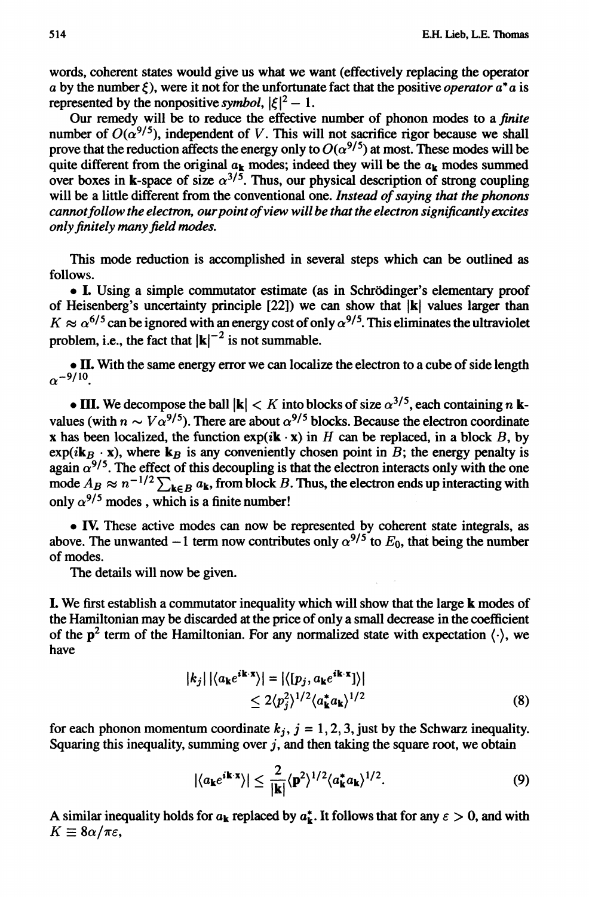**words, coherent states would give us what we want (effectively replacing the operator** *a* by the number  $\xi$ ), were it not for the unfortunate fact that the positive *operator*  $a^*a$  is **represented** by the nonpositive symbol,  $|\xi|^2 - 1$ .

**Our remedy will be to reduce the effective number of phonon modes to a** *finite* number of  $O(\alpha^{9/5})$ , independent of V. This will not sacrifice rigor because we shall prove that the reduction affects the energy only to  $O(\alpha^{9/5})$  at most. These modes will be quite different from the original  $a_k$  modes; indeed they will be the  $a_k$  modes summed over boxes in k-space of size  $\alpha^{3/5}$ . Thus, our physical description of strong coupling **will be a little different from the conventional one.** *Instead of saying that the phonons cannot follow the electron, our point of view will be that the electron significantly excites only finitely many field modes.*

**This mode reduction is accomplished in several steps which can be outlined as follows.**

**• I. Using a simple commutator estimate (as in Schrodinger's elementary proof of Heisenberg's uncertainty principle [22]) we can show that |k| values larger than**  $K \approx \alpha^{6/5}$  can be ignored with an energy cost of only  $\alpha^{9/5}$ . This eliminates the ultraviolet problem, i.e., the fact that  $|{\bf k}|^{-2}$  is not summable.

**• II. With the same energy error we can localize the electron to a cube of side length**  $\alpha$ <sup>-9/10</sup>

• **HI.** We decompose the ball  $|\mathbf{k}| < K$  into blocks of size  $\alpha^{3/5}$ , each containing *n* **kvalues** (with  $n \sim V \alpha^{9/5}$ ). There are about  $\alpha^{9/5}$  blocks. Because the electron coordinate **x** has been localized, the function  $exp(i\mathbf{k} \cdot \mathbf{x})$  in *H* can be replaced, in a block *B*, by  $\exp(i\mathbf{k}_B \cdot \mathbf{x})$ , where  $\mathbf{k}_B$  is any conveniently chosen point in *B*; the energy penalty is again  $\alpha^{9/5}$ . The effect of this decoupling is that the electron interacts only with the one mode  $A_B \approx n^{-1/2} \sum_{k \in B} a_k$ , from block *B*. Thus, the electron ends up interacting with only  $\alpha^{9/5}$  modes, which is a finite number!

**• IV. These active modes can now be represented by coherent state integrals, as** above. The unwanted  $-1$  term now contributes only  $\alpha^{9/5}$  to  $E_0$ , that being the number **of modes.**

**The details will now be given.**

**I. We first establish a commutator inequality which will show that the large k modes of the Hamiltonian may be discarded at the price of only a small decrease in the coefficient** of the  $p^2$  term of the Hamiltonian. For any normalized state with expectation  $\langle \cdot \rangle$ , we **have**

$$
|k_j| |\langle a_{\mathbf{k}} e^{i\mathbf{k} \cdot \mathbf{x}} \rangle| = |\langle [p_j, a_{\mathbf{k}} e^{i\mathbf{k} \cdot \mathbf{x}}] \rangle|
$$
  
 
$$
\leq 2 \langle p_j^2 \rangle^{1/2} \langle a_{\mathbf{k}}^* a_{\mathbf{k}} \rangle^{1/2}
$$
 (8)

for each phonon momentum coordinate  $k_j$ ,  $j = 1, 2, 3$ , just by the Schwarz inequality. **Squaring this inequality, summing over** *j ,* **and then taking the square root, we obtain**

$$
|\langle a_{\mathbf{k}}e^{i\mathbf{k}\cdot\mathbf{x}}\rangle| \leq \frac{2}{|\mathbf{k}|}\langle\mathbf{p}^2\rangle^{1/2}\langle a_{\mathbf{k}}^*a_{\mathbf{k}}\rangle^{1/2}.
$$
 (9)

A similar inequality holds for  $a_k$  replaced by  $a_k^*$ . It follows that for any  $\varepsilon > 0$ , and with  $K \equiv 8\alpha/\pi\varepsilon$ .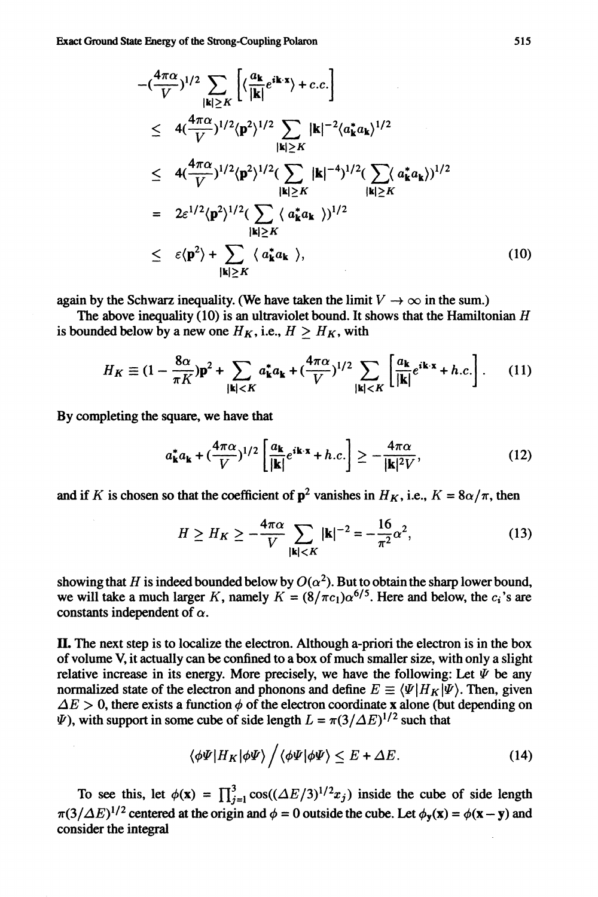$$
-(\frac{4\pi\alpha}{V})^{1/2} \sum_{|\mathbf{k}| \geq K} \left[ \langle \frac{a_{\mathbf{k}}}{|\mathbf{k}|} e^{i\mathbf{k} \cdot \mathbf{x}} \rangle + c.c. \right]
$$
  
\n
$$
\leq 4(\frac{4\pi\alpha}{V})^{1/2} \langle \mathbf{p}^2 \rangle^{1/2} \sum_{|\mathbf{k}| \geq K} |\mathbf{k}|^{-2} \langle a_{\mathbf{k}}^* a_{\mathbf{k}} \rangle^{1/2}
$$
  
\n
$$
\leq 4(\frac{4\pi\alpha}{V})^{1/2} \langle \mathbf{p}^2 \rangle^{1/2} (\sum_{|\mathbf{k}| \geq K} |\mathbf{k}|^{-4})^{1/2} (\sum_{|\mathbf{k}| \geq K} (a_{\mathbf{k}}^* a_{\mathbf{k}}))^{1/2}
$$
  
\n
$$
= 2\varepsilon^{1/2} \langle \mathbf{p}^2 \rangle^{1/2} (\sum_{|\mathbf{k}| \geq K} \langle a_{\mathbf{k}}^* a_{\mathbf{k}} \rangle)^{1/2}
$$
  
\n
$$
\leq \varepsilon \langle \mathbf{p}^2 \rangle + \sum_{|\mathbf{k}| \geq K} \langle a_{\mathbf{k}}^* a_{\mathbf{k}} \rangle, \qquad (10)
$$

**again by the Schwarz inequality. (We have taken the limit**  $V \rightarrow \infty$  **in the sum.)** 

**The above inequality (10) is an ultraviolet bound. It shows that the Hamiltonian** *H* is bounded below by a new one  $H_K$ , i.e.,  $H > H_K$ , with

$$
H_K \equiv (1 - \frac{8\alpha}{\pi K})\mathbf{p}^2 + \sum_{|\mathbf{k}| < K} a_{\mathbf{k}}^* a_{\mathbf{k}} + (\frac{4\pi\alpha}{V})^{1/2} \sum_{|\mathbf{k}| < K} \left[ \frac{a_{\mathbf{k}}}{|\mathbf{k}|} e^{i\mathbf{k}\cdot\mathbf{x}} + h.c. \right]. \tag{11}
$$

**By completing the square, we have that**

$$
a_{\mathbf{k}}^* a_{\mathbf{k}} + \left(\frac{4\pi\alpha}{V}\right)^{1/2} \left[\frac{a_{\mathbf{k}}}{|\mathbf{k}|} e^{i\mathbf{k}\cdot\mathbf{x}} + h.c.\right] \ge -\frac{4\pi\alpha}{|\mathbf{k}|^2 V},\tag{12}
$$

and if K is chosen so that the coefficient of  $p^2$  vanishes in  $H_K$ , i.e.,  $K = 8\alpha/\pi$ , then

$$
H \ge H_K \ge -\frac{4\pi\alpha}{V} \sum_{|\mathbf{k}| < K} |\mathbf{k}|^{-2} = -\frac{16}{\pi^2} \alpha^2,
$$
 (13)

showing that *H* is indeed bounded below by  $O(\alpha^2)$ . But to obtain the sharp lower bound, we will take a much larger *K*, namely  $K = (8/\pi c_1)\alpha^{6/5}$ . Here and below, the  $c_i$ 's are constants independent of  $\alpha$ .

**IL The next step is to localize the electron. Although a-priori the electron is in the box of volume V, it actually can be confined to a box of much smaller size, with only a slight** relative increase in its energy. More precisely, we have the following: Let  $\Psi$  be any **normalized state of the electron and phonons and define**  $E \equiv \langle \Psi | H_K | \Psi \rangle$ . Then, given  $\Delta E > 0$ , there exists a function  $\phi$  of the electron coordinate x alone (but depending on  $\Psi$ ), with support in some cube of side length  $L = \pi(3/\Delta E)^{1/2}$  such that

$$
\langle \phi \Psi | H_K | \phi \Psi \rangle / \langle \phi \Psi | \phi \Psi \rangle \le E + \Delta E. \tag{14}
$$

To see this, let  $\phi(\mathbf{x}) = \prod_{i=1}^{3} \cos((\Delta E/3)^{1/2} x_i)$  inside the cube of side length  $\pi(3/\Delta E)^{1/2}$  centered at the origin and  $\phi = 0$  outside the cube. Let  $\phi_y(x) = \phi(x - y)$  and **consider the integral**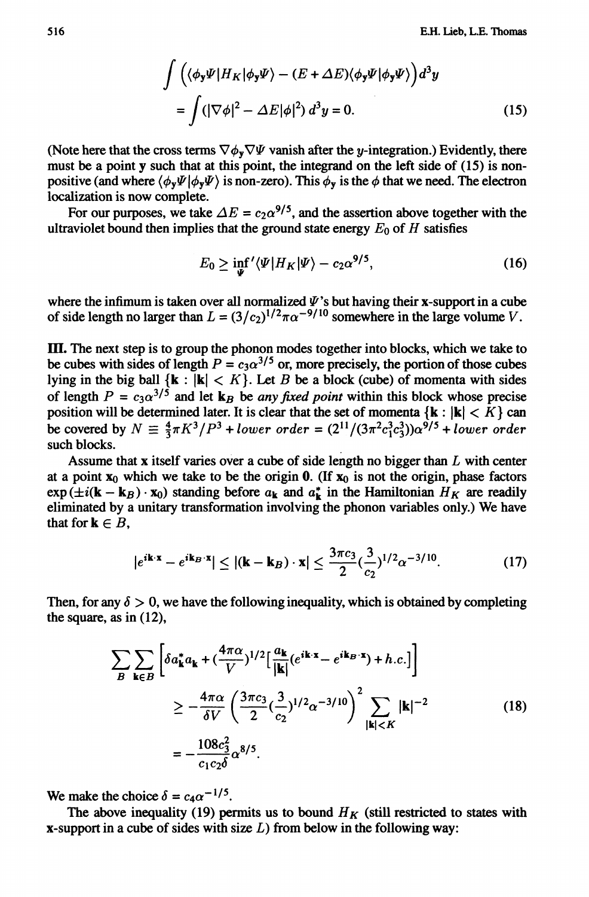$$
\int \left( \langle \phi_y \Psi | H_K | \phi_y \Psi \rangle - (E + \Delta E) \langle \phi_y \Psi | \phi_y \Psi \rangle \right) d^3 y
$$
  
= 
$$
\int (|\nabla \phi|^2 - \Delta E |\phi|^2) d^3 y = 0.
$$
 (15)

(Note here that the cross terms  $\nabla \phi_y \nabla \Psi$  vanish after the *y*-integration.) Evidently, there **must be a point y such that at this point, the integrand on the left side of (15) is nonpositive (and where**  $\langle \phi_v \Psi | \phi_v \Psi \rangle$  **is non-zero). This**  $\phi_v$  **is the**  $\phi$  **that we need. The electron localization is now complete.**

For our purposes, we take  $\Delta E = c_2 \alpha^{9/5}$ , and the assertion above together with the **ultraviolet bound then implies that the ground state energy**  $E_0$  of  $H$  satisfies

$$
E_0 \ge \inf_{\Psi} \langle \Psi | H_K | \Psi \rangle - c_2 \alpha^{9/5}, \tag{16}
$$

where the infimum is taken over all normalized  $\Psi$ 's but having their x-support in a cube of side length no larger than  $L = (3/c_2)^{1/2} \pi \alpha^{-9/10}$  somewhere in the large volume V.

*TEL* **The next step is to group the phonon modes together into blocks, which we take to** be cubes with sides of length  $P = c_3 \alpha^{3/5}$  or, more precisely, the portion of those cubes lying in the big ball  $\{k : |k| < K\}$ . Let *B* be a block (cube) of momenta with sides of length  $P = c_3 \alpha^{3/5}$  and let  $\mathbf{k}_B$  be *any fixed point* within this block whose precise **position will be determined later. It is clear that the set of momenta**  $\{k : |k| < K\}$  **can be covered by**  $N \equiv \frac{4}{3}\pi K^3/P^3 + lower \ order = (2^{11}/(3\pi^2 c_1^3 c_3^3))\alpha^{9/5} + lower \ order$ **such blocks.**

**Assume that x itself varies over a cube of side length no bigger than** *L* **with center** at a point  $x_0$  which we take to be the origin 0. (If  $x_0$  is not the origin, phase factors  $\exp(\pm i(\mathbf{k} - \mathbf{k}_B) \cdot \mathbf{x}_0)$  standing before  $a_k$  and  $a_k^*$  in the Hamiltonian  $H_K$  are readily **eliminated by a unitary transformation involving the phonon variables only.) We have that for**  $\mathbf{k} \in B$ **,** 

$$
|e^{i\mathbf{k}\cdot\mathbf{x}}-e^{i\mathbf{k}_{B}\cdot\mathbf{x}}|\leq |(\mathbf{k}-\mathbf{k}_{B})\cdot\mathbf{x}|\leq \frac{3\pi c_{3}}{2}(\frac{3}{c_{2}})^{1/2}\alpha^{-3/10}.\tag{17}
$$

Then, for any  $\delta > 0$ , we have the following inequality, which is obtained by completing **the square, as in (12),**

$$
\sum_{B} \sum_{\mathbf{k} \in B} \left[ \delta a_{\mathbf{k}}^* a_{\mathbf{k}} + (\frac{4\pi\alpha}{V})^{1/2} \left[ \frac{a_{\mathbf{k}}}{|\mathbf{k}|} (e^{i\mathbf{k} \cdot \mathbf{x}} - e^{i\mathbf{k}_{B} \cdot \mathbf{x}}) + h.c. \right] \right]
$$
  
\n
$$
\geq -\frac{4\pi\alpha}{\delta V} \left( \frac{3\pi c_{3}}{2} (\frac{3}{c_{2}})^{1/2} \alpha^{-3/10} \right)^{2} \sum_{|\mathbf{k}| < K} |\mathbf{k}|^{-2}
$$
  
\n
$$
= -\frac{108c_{3}^{2}}{c_{1}c_{2}\delta} \alpha^{8/5}.
$$
 (18)

We make the choice  $\delta = c_4 \alpha^{-1/5}$ .

The above inequality (19) permits us to bound  $H_K$  (still restricted to states with **x-support in a cube of sides with size** *L)* **from below in the following way:**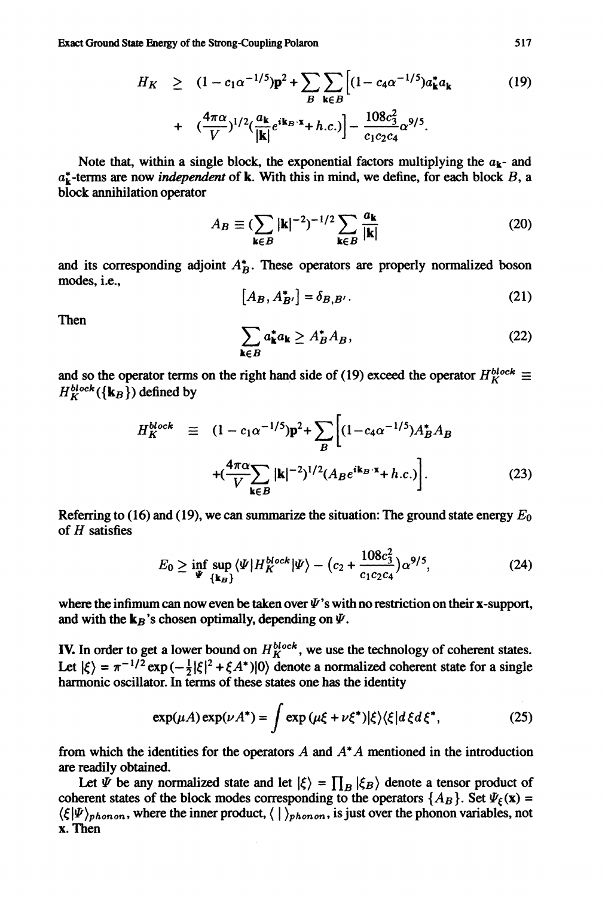**Exact Ground State Energy of the Strong-Coupling Polaron 517**

$$
H_K \geq (1 - c_1 \alpha^{-1/5}) \mathbf{p}^2 + \sum_B \sum_{\mathbf{k} \in B} \left[ (1 - c_4 \alpha^{-1/5}) a_{\mathbf{k}}^* a_{\mathbf{k}} + \left( \frac{4\pi \alpha}{V} \right)^{1/2} \left( \frac{a_{\mathbf{k}}}{|\mathbf{k}|} e^{i \mathbf{k}_B \cdot \mathbf{x}} + h.c. \right) \right] - \frac{108 c_3^2}{c_1 c_2 c_4} \alpha^{9/5}.
$$
 (19)

Note that, within a single block, the exponential factors multiplying the  $a_k$ - and **a£-terms are now** *independent* **of k. With this in mind, we define, for each block** *B,* **a block annihilation operator**

$$
A_B \equiv \left(\sum_{\mathbf{k} \in B} |\mathbf{k}|^{-2}\right)^{-1/2} \sum_{\mathbf{k} \in B} \frac{a_{\mathbf{k}}}{|\mathbf{k}|} \tag{20}
$$

**and its corresponding adjoint** *A\*B.* **These operators are properly normalized boson modes, i.e.,**

$$
[A_B, A_{B'}^*] = \delta_{B,B'}.
$$
\n(21)

**Then**

$$
\sum_{\mathbf{k}\in B} a_{\mathbf{k}}^* a_{\mathbf{k}} \ge A_B^* A_B,\tag{22}
$$

and so the operator terms on the right hand side of (19) exceed the operator  $H_K^{block} \equiv$  $H^{block}_{K}(\{k_{B}\})$  defined by

$$
H_K^{block} \equiv (1 - c_1 \alpha^{-1/5}) \mathbf{p}^2 + \sum_B \left[ (1 - c_4 \alpha^{-1/5}) A_B^* A_B \right] + (\frac{4\pi\alpha}{V} \sum_{\mathbf{k} \in B} |\mathbf{k}|^{-2})^{1/2} (A_B e^{i\mathbf{k}_B \cdot \mathbf{x}} + h.c.) \right].
$$
 (23)

**Referring to (16) and (19), we can summarize the situation: The ground state energy** *Eo* **of** *H* **satisfies**

$$
E_0 \ge \inf_{\Psi} \sup_{\{\mathbf{k}_B\}} \langle \Psi | H_K^{block} | \Psi \rangle - (c_2 + \frac{108c_3^2}{c_1c_2c_4}) \alpha^{9/5}, \tag{24}
$$

where the infimum can now even be taken over  $\Psi$ 's with no restriction on their **x**-support, and with the  $k_B$ 's chosen optimally, depending on  $\Psi$ .

**IV.** In order to get a lower bound on  $H_K^{block}$ , we use the technology of coherent states. Let  $|\xi\rangle = \pi^{-1/2} \exp(-\frac{1}{2}|\xi|^2 + \xi A^*)|0\rangle$  denote a normalized coherent state for a single **harmonic oscillator. In terms of these states one has the identity**

$$
\exp(\mu A)\exp(\nu A^*) = \int \exp\left(\mu\xi + \nu\xi^*\right) |\xi\rangle\langle\xi| d\xi d\xi^*,\tag{25}
$$

**from which the identities for the operators** *A* **and** *A\* A* **mentioned in the introduction are readily obtained.**

Let  $\overline{\Psi}$  be any normalized state and let  $|\xi\rangle = \prod_B |\xi_B\rangle$  denote a tensor product of coherent states of the block modes corresponding to the operators  $\{A_B\}$ . Set  $\Psi_{\xi}(\mathbf{x}) =$  $\langle \xi | \Psi \rangle_{phonon}$ , where the inner product,  $\langle | \rangle_{phonon}$ , is just over the phonon variables, not **x.Then**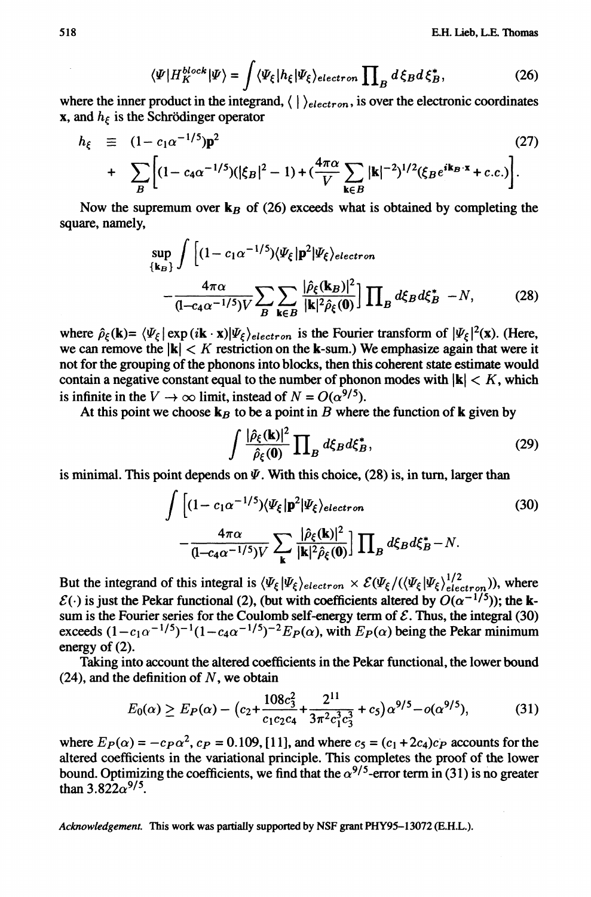$$
\langle \Psi | H_K^{block} | \Psi \rangle = \int \langle \Psi_{\xi} | h_{\xi} | \Psi_{\xi} \rangle_{electron} \prod_{B} d\xi_{B} d\xi_{B}^*, \tag{26}
$$

where the inner product in the integrand,  $\langle \cdot | \rangle_{electron}$ , is over the electronic coordinates **x**, and  $h_f$  is the Schrödinger operator

$$
h_{\xi} \equiv (1 - c_1 \alpha^{-1/5}) \mathbf{p}^2
$$
\n
$$
+ \sum_{B} \left[ (1 - c_4 \alpha^{-1/5}) (|\xi_B|^2 - 1) + (\frac{4\pi \alpha}{V} \sum_{\mathbf{k} \in B} |\mathbf{k}|^{-2})^{1/2} (\xi_B e^{i\mathbf{k}_B \cdot \mathbf{x}} + c.c.) \right].
$$
\n(27)

Now the supremum over  $\mathbf{k}_B$  of (26) exceeds what is obtained by completing the **square, namely,**

$$
\sup_{\{\mathbf{k}_B\}} \int \left[ (1 - c_1 \alpha^{-1/5}) \langle \Psi_{\xi} | \mathbf{p}^2 | \Psi_{\xi} \rangle_{electron} - \frac{4\pi \alpha}{(1 - c_4 \alpha^{-1/5})V} \sum_{B} \sum_{\mathbf{k} \in B} \frac{|\hat{\rho}_{\xi}(\mathbf{k}_B)|^2}{|\mathbf{k}|^2 \hat{\rho}_{\xi}(\mathbf{0})} \right] \prod_{B} d\xi_B d\xi_B^* - N, \tag{28}
$$

where  $\hat{\rho}_{\xi}(\mathbf{k}) = \langle \Psi_{\xi} | \exp(i\mathbf{k} \cdot \mathbf{x}) | \Psi_{\xi} \rangle_{electron}$  is the Fourier transform of  $|\Psi_{\xi}|^2(\mathbf{x})$ . (Here, we can remove the  $|k| < K$  restriction on the k-sum.) We emphasize again that were it **not for the grouping of the phonons into blocks, then this coherent state estimate would** contain a negative constant equal to the number of phonon modes with  $|k| \leq K$ , which is infinite in the  $V \to \infty$  limit, instead of  $N = O(\alpha^{9/5})$ .

At this point we choose  $\mathbf{k}_B$  to be a point in *B* where the function of **k** given by

$$
\int \frac{|\hat{\rho}_{\xi}(\mathbf{k})|^2}{\hat{\rho}_{\xi}(\mathbf{0})} \prod_{B} d\xi_{B} d\xi_{B}^*,
$$
\n(29)

is minimal. This point depends on  $\Psi$ . With this choice, (28) is, in turn, larger than

$$
\int \left[ (1 - c_1 \alpha^{-1/5}) \langle \Psi_{\xi} | \mathbf{p}^2 | \Psi_{\xi} \rangle_{electron} \right]
$$
\n
$$
- \frac{4\pi \alpha}{(1 - c_4 \alpha^{-1/5})V} \sum_{\mathbf{k}} \frac{|\hat{\rho}_{\xi}(\mathbf{k})|^2}{|\mathbf{k}|^2 \hat{\rho}_{\xi}(\mathbf{0})} \right] \prod_{B} d\xi_B d\xi_B^* - N.
$$
\n(30)

But the integrand of this integral is  $\langle \Psi_{\xi} | \Psi_{\xi} \rangle_{electron} \times \mathcal{E}(\Psi_{\xi}) \langle (\Psi_{\xi} | \Psi_{\xi})_{electron}^{1/2})$ ), where  $\mathcal{E}(\cdot)$  is just the Pekar functional (2), (but with coefficients altered by  $O(\alpha^{-1/5})$ ); the ksum is the Fourier series for the Coulomb self-energy term of  $\mathcal{E}$ . Thus, the integral (30) exceeds  $(1 - c_1\alpha^{-1/5})^{-1}(1 - c_4\alpha^{-1/5})^{-2}E_P(\alpha)$ , with  $E_P(\alpha)$  being the Pekar minimum **energy of (2).**

**Taking into account the altered coefficients in the Pekar functional, the lower bound**  $(24)$ , and the definition of N, we obtain

$$
E_0(\alpha) \ge E_P(\alpha) - (c_2 + \frac{108c_3^2}{c_1c_2c_4} + \frac{2^{11}}{3\pi^2c_1^3c_3^3} + c_5)\alpha^{9/5} - o(\alpha^{9/5}),\tag{31}
$$

where  $E_P(\alpha) = -c_P \alpha^2$ ,  $c_P = 0.109$ , [11], and where  $c_5 = (c_1 + 2c_4)c_P$  accounts for the **altered coefficients in the variational principle. This completes the proof of the lower** bound. Optimizing the coefficients, we find that the  $\alpha^{9/5}$ -error term in (31) is no greater **than**  $3.822\alpha^{9/5}$ .

*Acknowledgement.* **This work was partially supported by NSF grant PHY95-13072 (E.H.L.).**

 $\sim$ 

 $\epsilon$